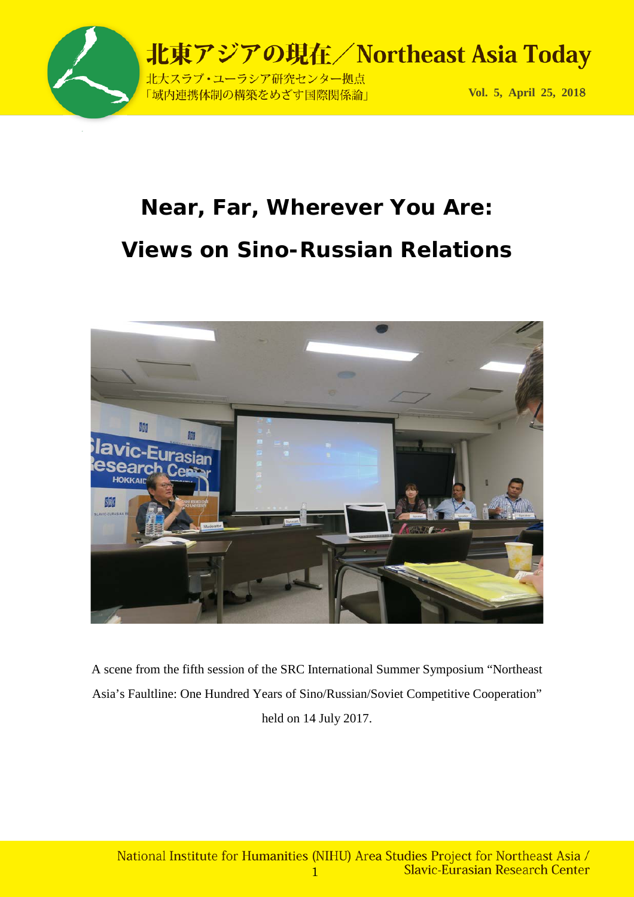

# **Near, Far, Wherever You Are: Views on Sino-Russian Relations**



A scene from the fifth session of the SRC International Summer Symposium "Northeast Asia's Faultline: One Hundred Years of Sino/Russian/Soviet Competitive Cooperation" held on 14 July 2017.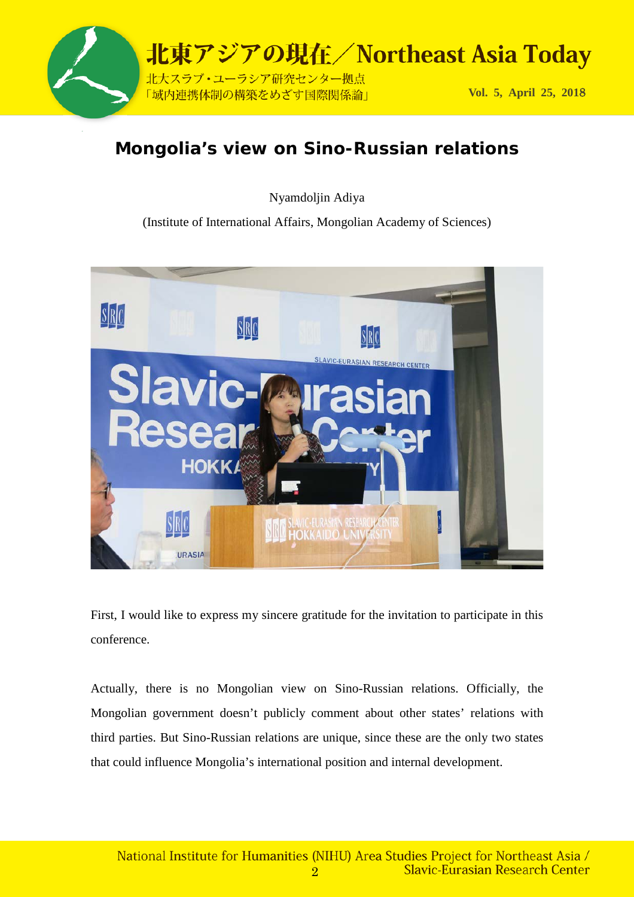

### **Mongolia's view on Sino-Russian relations**

Nyamdoljin Adiya

(Institute of International Affairs, Mongolian Academy of Sciences)



First, I would like to express my sincere gratitude for the invitation to participate in this conference.

Actually, there is no Mongolian view on Sino-Russian relations. Officially, the Mongolian government doesn't publicly comment about other states' relations with third parties. But Sino-Russian relations are unique, since these are the only two states that could influence Mongolia's international position and internal development.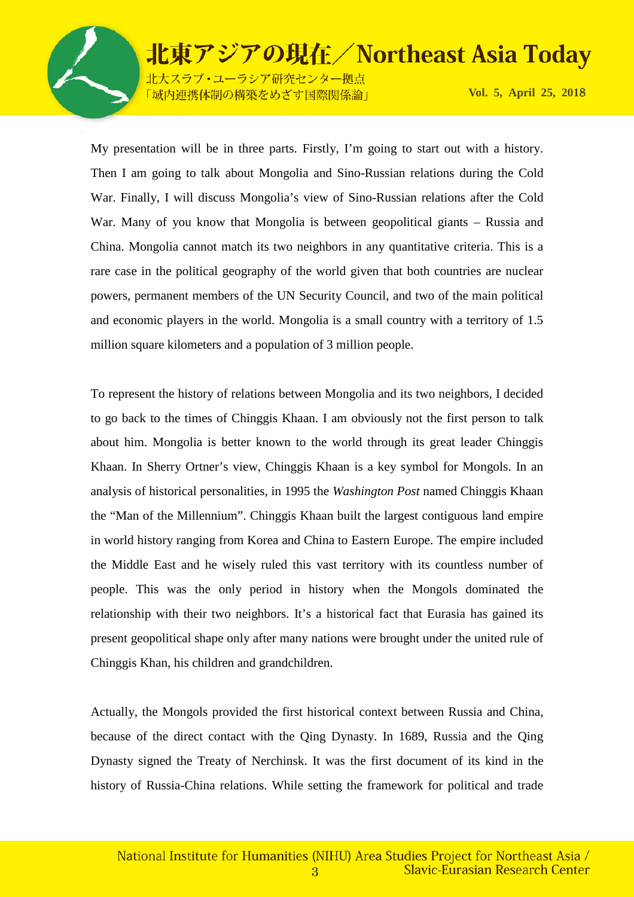

北大スラブ·ユーラシア研究センター拠点 「域内連携体制の構築をめざす国際関係論」

**Vol. 5, April 25, 201**8

My presentation will be in three parts. Firstly, I'm going to start out with a history. Then I am going to talk about Mongolia and Sino-Russian relations during the Cold War. Finally, I will discuss Mongolia's view of Sino-Russian relations after the Cold War. Many of you know that Mongolia is between geopolitical giants – Russia and China. Mongolia cannot match its two neighbors in any quantitative criteria. This is a rare case in the political geography of the world given that both countries are nuclear powers, permanent members of the UN Security Council, and two of the main political and economic players in the world. Mongolia is a small country with a territory of 1.5 million square kilometers and a population of 3 million people.

To represent the history of relations between Mongolia and its two neighbors, I decided to go back to the times of Chinggis Khaan. I am obviously not the first person to talk about him. Mongolia is better known to the world through its great leader Chinggis Khaan. In Sherry Ortner's view, Chinggis Khaan is a key symbol for Mongols. In an analysis of historical personalities, in 1995 the *Washington Post* named Chinggis Khaan the "Man of the Millennium". Chinggis Khaan built the largest contiguous land empire in world history ranging from Korea and China to Eastern Europe. The empire included the Middle East and he wisely ruled this vast territory with its countless number of people. This was the only period in history when the Mongols dominated the relationship with their two neighbors. It's a historical fact that Eurasia has gained its present geopolitical shape only after many nations were brought under the united rule of Chinggis Khan, his children and grandchildren.

Actually, the Mongols provided the first historical context between Russia and China, because of the direct contact with the Qing Dynasty. In 1689, Russia and the Qing Dynasty signed the Treaty of Nerchinsk. It was the first document of its kind in the history of Russia-China relations. While setting the framework for political and trade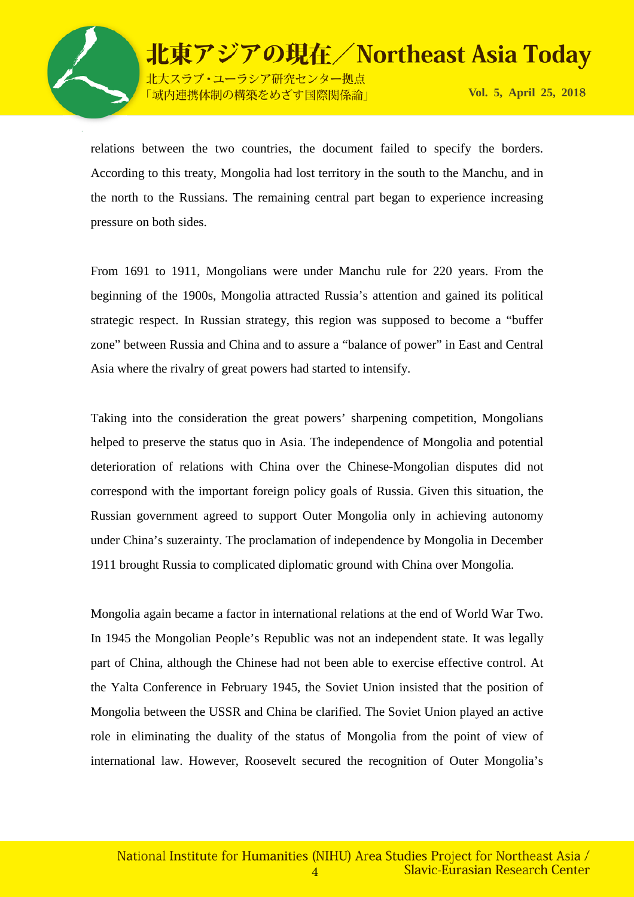

北東アジアの現在/Northeast Asia Today 北大スラブ·ユーラシア研究センター拠点

「域内連携体制の構築をめざす国際関係論」

**Vol. 5, April 25, 201**8

relations between the two countries, the document failed to specify the borders. According to this treaty, Mongolia had lost territory in the south to the Manchu, and in the north to the Russians. The remaining central part began to experience increasing pressure on both sides.

From 1691 to 1911, Mongolians were under Manchu rule for 220 years. From the beginning of the 1900s, Mongolia attracted Russia's attention and gained its political strategic respect. In Russian strategy, this region was supposed to become a "buffer zone" between Russia and China and to assure a "balance of power" in East and Central Asia where the rivalry of great powers had started to intensify.

Taking into the consideration the great powers' sharpening competition, Mongolians helped to preserve the status quo in Asia. The independence of Mongolia and potential deterioration of relations with China over the Chinese-Mongolian disputes did not correspond with the important foreign policy goals of Russia. Given this situation, the Russian government agreed to support Outer Mongolia only in achieving autonomy under China's suzerainty. The proclamation of independence by Mongolia in December 1911 brought Russia to complicated diplomatic ground with China over Mongolia.

Mongolia again became a factor in international relations at the end of World War Two. In 1945 the Mongolian People's Republic was not an independent state. It was legally part of China, although the Chinese had not been able to exercise effective control. At the Yalta Conference in February 1945, the Soviet Union insisted that the position of Mongolia between the USSR and China be clarified. The Soviet Union played an active role in eliminating the duality of the status of Mongolia from the point of view of international law. However, Roosevelt secured the recognition of Outer Mongolia's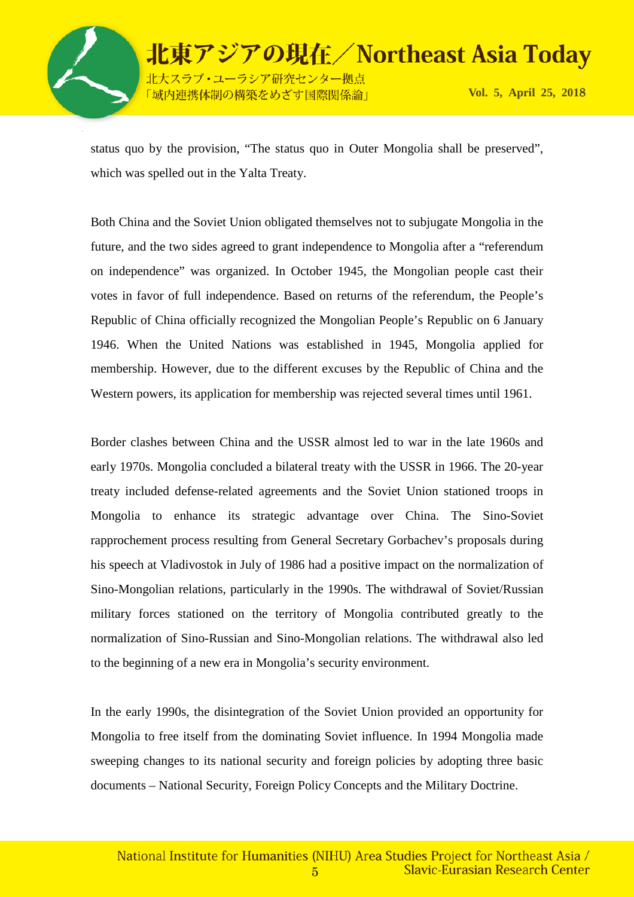

北東アジアの現在/Northeast Asia Today 北大スラブ·ユーラシア研究センター拠点 **Vol. 5, April 25, 201**8 「域内連携体制の構築をめざす国際関係論」

status quo by the provision, "The status quo in Outer Mongolia shall be preserved", which was spelled out in the Yalta Treaty.

Both China and the Soviet Union obligated themselves not to subjugate Mongolia in the future, and the two sides agreed to grant independence to Mongolia after a "referendum on independence" was organized. In October 1945, the Mongolian people cast their votes in favor of full independence. Based on returns of the referendum, the People's Republic of China officially recognized the Mongolian People's Republic on 6 January 1946. When the United Nations was established in 1945, Mongolia applied for membership. However, due to the different excuses by the Republic of China and the Western powers, its application for membership was rejected several times until 1961.

Border clashes between China and the USSR almost led to war in the late 1960s and early 1970s. Mongolia concluded a bilateral treaty with the USSR in 1966. The 20-year treaty included defense-related agreements and the Soviet Union stationed troops in Mongolia to enhance its strategic advantage over China. The Sino-Soviet rapprochement process resulting from General Secretary Gorbachev's proposals during his speech at Vladivostok in July of 1986 had a positive impact on the normalization of Sino-Mongolian relations, particularly in the 1990s. The withdrawal of Soviet/Russian military forces stationed on the territory of Mongolia contributed greatly to the normalization of Sino-Russian and Sino-Mongolian relations. The withdrawal also led to the beginning of a new era in Mongolia's security environment.

In the early 1990s, the disintegration of the Soviet Union provided an opportunity for Mongolia to free itself from the dominating Soviet influence. In 1994 Mongolia made sweeping changes to its national security and foreign policies by adopting three basic documents – National Security, Foreign Policy Concepts and the Military Doctrine.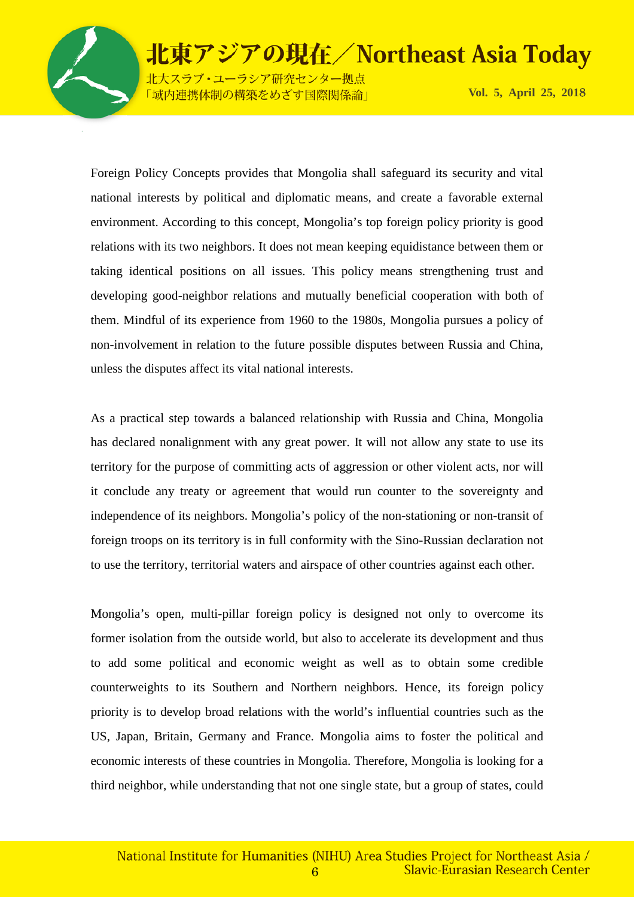

大スラブ・ユーラシア研究センター拠点 「域内連携体制の構築をめざす国際関係論」

**Vol. 5, April 25, 201**8

Foreign Policy Concepts provides that Mongolia shall safeguard its security and vital national interests by political and diplomatic means, and create a favorable external environment. According to this concept, Mongolia's top foreign policy priority is good relations with its two neighbors. It does not mean keeping equidistance between them or taking identical positions on all issues. This policy means strengthening trust and developing good-neighbor relations and mutually beneficial cooperation with both of them. Mindful of its experience from 1960 to the 1980s, Mongolia pursues a policy of non-involvement in relation to the future possible disputes between Russia and China, unless the disputes affect its vital national interests.

As a practical step towards a balanced relationship with Russia and China, Mongolia has declared nonalignment with any great power. It will not allow any state to use its territory for the purpose of committing acts of aggression or other violent acts, nor will it conclude any treaty or agreement that would run counter to the sovereignty and independence of its neighbors. Mongolia's policy of the non-stationing or non-transit of foreign troops on its territory is in full conformity with the Sino-Russian declaration not to use the territory, territorial waters and airspace of other countries against each other.

Mongolia's open, multi-pillar foreign policy is designed not only to overcome its former isolation from the outside world, but also to accelerate its development and thus to add some political and economic weight as well as to obtain some credible counterweights to its Southern and Northern neighbors. Hence, its foreign policy priority is to develop broad relations with the world's influential countries such as the US, Japan, Britain, Germany and France. Mongolia aims to foster the political and economic interests of these countries in Mongolia. Therefore, Mongolia is looking for a third neighbor, while understanding that not one single state, but a group of states, could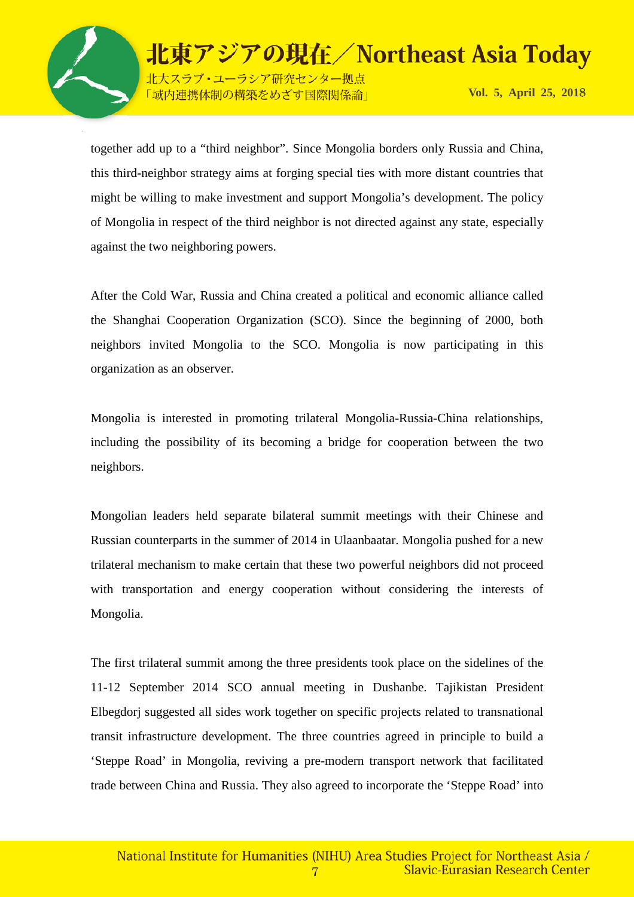

北大スラブ·ユーラシア研究センター拠点 「域内連携体制の構築をめざす国際関係論」

**Vol. 5, April 25, 201**8

together add up to a "third neighbor". Since Mongolia borders only Russia and China, this third-neighbor strategy aims at forging special ties with more distant countries that might be willing to make investment and support Mongolia's development. The policy of Mongolia in respect of the third neighbor is not directed against any state, especially against the two neighboring powers.

After the Cold War, Russia and China created a political and economic alliance called the Shanghai Cooperation Organization (SCO). Since the beginning of 2000, both neighbors invited Mongolia to the SCO. Mongolia is now participating in this organization as an observer.

Mongolia is interested in promoting trilateral Mongolia-Russia-China relationships, including the possibility of its becoming a bridge for cooperation between the two neighbors.

Mongolian leaders held separate bilateral summit meetings with their Chinese and Russian counterparts in the summer of 2014 in Ulaanbaatar. Mongolia pushed for a new trilateral mechanism to make certain that these two powerful neighbors did not proceed with transportation and energy cooperation without considering the interests of Mongolia.

The first trilateral summit among the three presidents took place on the sidelines of the 11-12 September 2014 SCO annual meeting in Dushanbe. Tajikistan President Elbegdorj suggested all sides work together on specific projects related to transnational transit infrastructure development. The three countries agreed in principle to build a 'Steppe Road' in Mongolia, reviving a pre-modern transport network that facilitated trade between China and Russia. They also agreed to incorporate the 'Steppe Road' into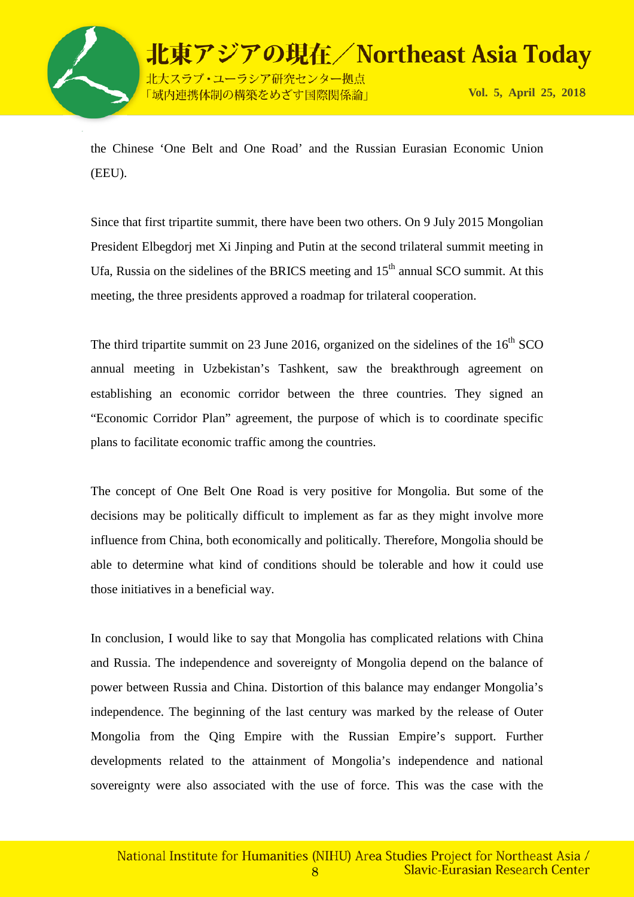

北東アジアの現在/Northeast Asia Today 北大スラブ・ユーラシア研究センター拠点 「域内連携体制の構築をめざす国際関係論」

**Vol. 5, April 25, 201**8

the Chinese 'One Belt and One Road' and the Russian Eurasian Economic Union (EEU).

Since that first tripartite summit, there have been two others. On 9 July 2015 Mongolian President Elbegdorj met Xi Jinping and Putin at the second trilateral summit meeting in Ufa, Russia on the sidelines of the BRICS meeting and  $15<sup>th</sup>$  annual SCO summit. At this meeting, the three presidents approved a roadmap for trilateral cooperation.

The third tripartite summit on 23 June 2016, organized on the sidelines of the  $16<sup>th</sup>$  SCO annual meeting in Uzbekistan's Tashkent, saw the breakthrough agreement on establishing an economic corridor between the three countries. They signed an "Economic Corridor Plan" agreement, the purpose of which is to coordinate specific plans to facilitate economic traffic among the countries.

The concept of One Belt One Road is very positive for Mongolia. But some of the decisions may be politically difficult to implement as far as they might involve more influence from China, both economically and politically. Therefore, Mongolia should be able to determine what kind of conditions should be tolerable and how it could use those initiatives in a beneficial way.

In conclusion, I would like to say that Mongolia has complicated relations with China and Russia. The independence and sovereignty of Mongolia depend on the balance of power between Russia and China. Distortion of this balance may endanger Mongolia's independence. The beginning of the last century was marked by the release of Outer Mongolia from the Qing Empire with the Russian Empire's support. Further developments related to the attainment of Mongolia's independence and national sovereignty were also associated with the use of force. This was the case with the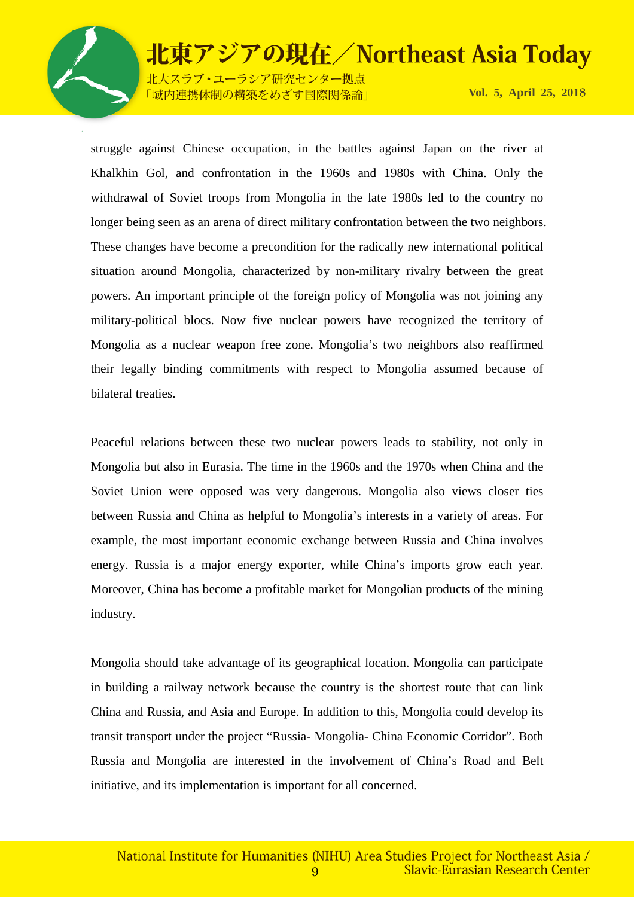

北大スラブ·ユーラシア研究センター拠点 「域内連携体制の構築をめざす国際関係論」

**Vol. 5, April 25, 201**8

struggle against Chinese occupation, in the battles against Japan on the river at Khalkhin Gol, and confrontation in the 1960s and 1980s with China. Only the withdrawal of Soviet troops from Mongolia in the late 1980s led to the country no longer being seen as an arena of direct military confrontation between the two neighbors. These changes have become a precondition for the radically new international political situation around Mongolia, characterized by non-military rivalry between the great powers. An important principle of the foreign policy of Mongolia was not joining any military-political blocs. Now five nuclear powers have recognized the territory of Mongolia as a nuclear weapon free zone. Mongolia's two neighbors also reaffirmed their legally binding commitments with respect to Mongolia assumed because of bilateral treaties.

Peaceful relations between these two nuclear powers leads to stability, not only in Mongolia but also in Eurasia. The time in the 1960s and the 1970s when China and the Soviet Union were opposed was very dangerous. Mongolia also views closer ties between Russia and China as helpful to Mongolia's interests in a variety of areas. For example, the most important economic exchange between Russia and China involves energy. Russia is a major energy exporter, while China's imports grow each year. Moreover, China has become a profitable market for Mongolian products of the mining industry.

Mongolia should take advantage of its geographical location. Mongolia can participate in building a railway network because the country is the shortest route that can link China and Russia, and Asia and Europe. In addition to this, Mongolia could develop its transit transport under the project "Russia- Mongolia- China Economic Corridor". Both Russia and Mongolia are interested in the involvement of China's Road and Belt initiative, and its implementation is important for all concerned.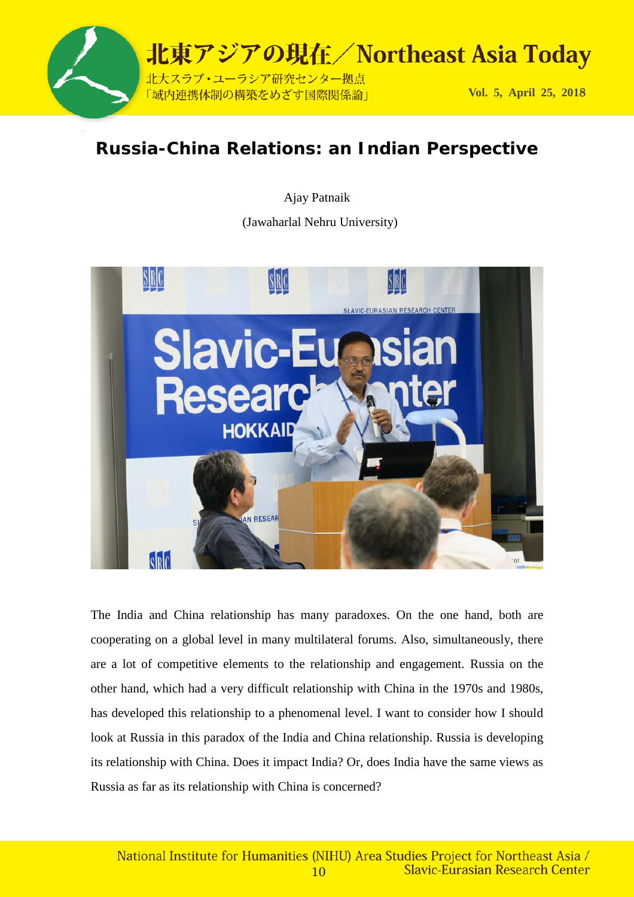

## **Russia-China Relations: an Indian Perspective**

Ajay Patnaik

(Jawaharlal Nehru University)



The India and China relationship has many paradoxes. On the one hand, both are cooperating on a global level in many multilateral forums. Also, simultaneously, there are a lot of competitive elements to the relationship and engagement. Russia on the other hand, which had a very difficult relationship with China in the 1970s and 1980s, has developed this relationship to a phenomenal level. I want to consider how I should look at Russia in this paradox of the India and China relationship. Russia is developing its relationship with China. Does it impact India? Or, does India have the same views as Russia as far as its relationship with China is concerned?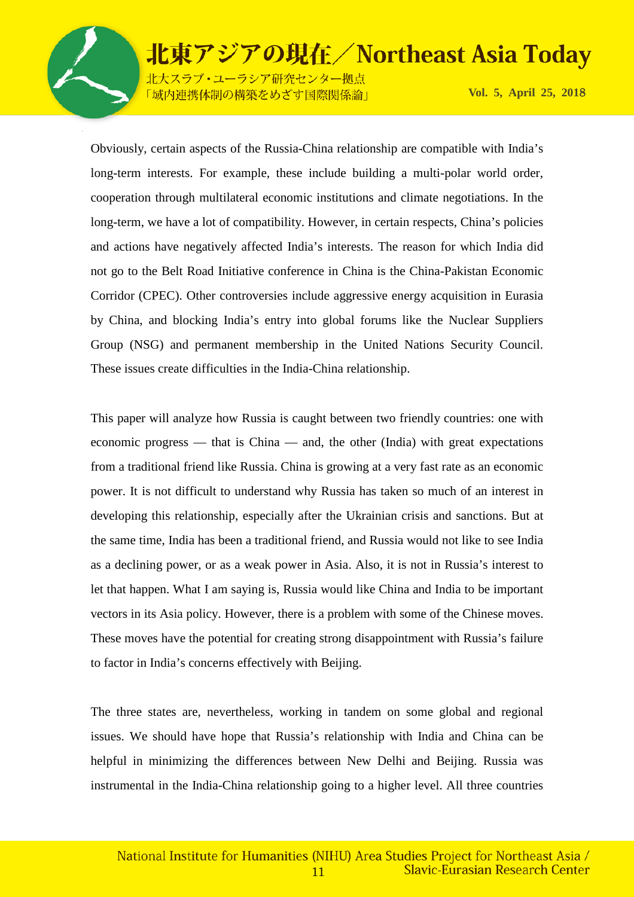

北大スラブ·ユーラシア研究センター拠点 「域内連携体制の構築をめざす国際関係論」

**Vol. 5, April 25, 201**8

Obviously, certain aspects of the Russia-China relationship are compatible with India's long-term interests. For example, these include building a multi-polar world order, cooperation through multilateral economic institutions and climate negotiations. In the long-term, we have a lot of compatibility. However, in certain respects, China's policies and actions have negatively affected India's interests. The reason for which India did not go to the Belt Road Initiative conference in China is the China-Pakistan Economic Corridor (CPEC). Other controversies include aggressive energy acquisition in Eurasia by China, and blocking India's entry into global forums like the Nuclear Suppliers Group (NSG) and permanent membership in the United Nations Security Council. These issues create difficulties in the India-China relationship.

This paper will analyze how Russia is caught between two friendly countries: one with economic progress — that is China — and, the other (India) with great expectations from a traditional friend like Russia. China is growing at a very fast rate as an economic power. It is not difficult to understand why Russia has taken so much of an interest in developing this relationship, especially after the Ukrainian crisis and sanctions. But at the same time, India has been a traditional friend, and Russia would not like to see India as a declining power, or as a weak power in Asia. Also, it is not in Russia's interest to let that happen. What I am saying is, Russia would like China and India to be important vectors in its Asia policy. However, there is a problem with some of the Chinese moves. These moves have the potential for creating strong disappointment with Russia's failure to factor in India's concerns effectively with Beijing.

The three states are, nevertheless, working in tandem on some global and regional issues. We should have hope that Russia's relationship with India and China can be helpful in minimizing the differences between New Delhi and Beijing. Russia was instrumental in the India-China relationship going to a higher level. All three countries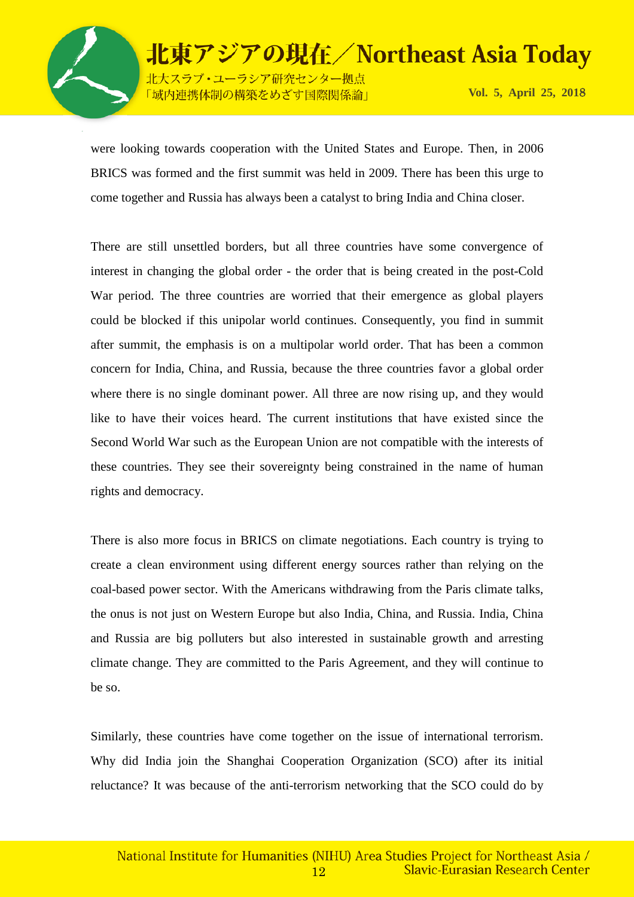

北東アジアの現在/Northeast Asia Today 北大スラブ・ユーラシア研究センター拠点

「域内連携体制の構築をめざす国際関係論」

**Vol. 5, April 25, 201**8

were looking towards cooperation with the United States and Europe. Then, in 2006 BRICS was formed and the first summit was held in 2009. There has been this urge to come together and Russia has always been a catalyst to bring India and China closer.

There are still unsettled borders, but all three countries have some convergence of interest in changing the global order - the order that is being created in the post-Cold War period. The three countries are worried that their emergence as global players could be blocked if this unipolar world continues. Consequently, you find in summit after summit, the emphasis is on a multipolar world order. That has been a common concern for India, China, and Russia, because the three countries favor a global order where there is no single dominant power. All three are now rising up, and they would like to have their voices heard. The current institutions that have existed since the Second World War such as the European Union are not compatible with the interests of these countries. They see their sovereignty being constrained in the name of human rights and democracy.

There is also more focus in BRICS on climate negotiations. Each country is trying to create a clean environment using different energy sources rather than relying on the coal-based power sector. With the Americans withdrawing from the Paris climate talks, the onus is not just on Western Europe but also India, China, and Russia. India, China and Russia are big polluters but also interested in sustainable growth and arresting climate change. They are committed to the Paris Agreement, and they will continue to be so.

Similarly, these countries have come together on the issue of international terrorism. Why did India join the Shanghai Cooperation Organization (SCO) after its initial reluctance? It was because of the anti-terrorism networking that the SCO could do by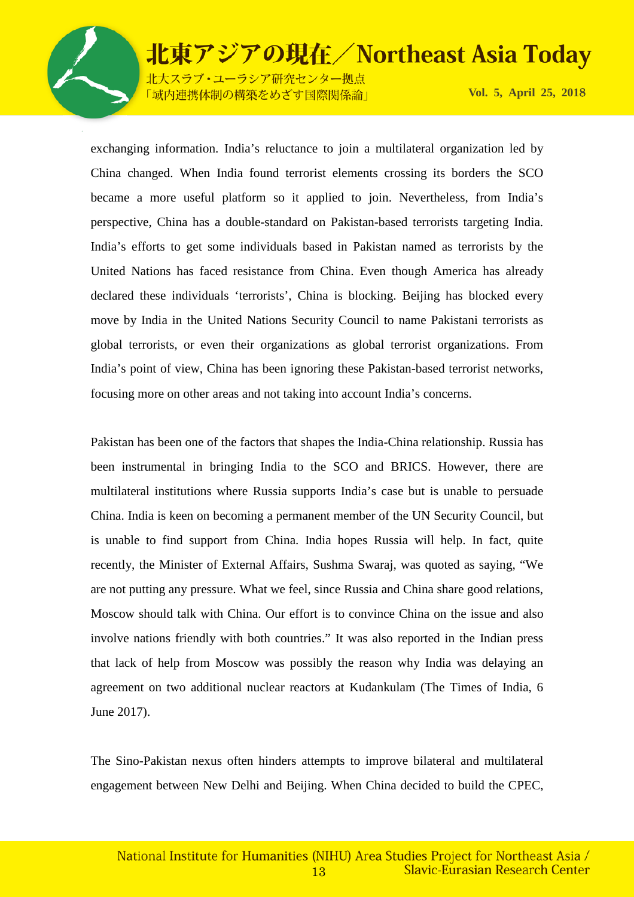

北大スラブ·ユーラシア研究センター拠点 「域内連携体制の構築をめざす国際関係論」

**Vol. 5, April 25, 201**8

exchanging information. India's reluctance to join a multilateral organization led by China changed. When India found terrorist elements crossing its borders the SCO became a more useful platform so it applied to join. Nevertheless, from India's perspective, China has a double-standard on Pakistan-based terrorists targeting India. India's efforts to get some individuals based in Pakistan named as terrorists by the United Nations has faced resistance from China. Even though America has already declared these individuals 'terrorists', China is blocking. Beijing has blocked every move by India in the United Nations Security Council to name Pakistani terrorists as global terrorists, or even their organizations as global terrorist organizations. From India's point of view, China has been ignoring these Pakistan-based terrorist networks, focusing more on other areas and not taking into account India's concerns.

Pakistan has been one of the factors that shapes the India-China relationship. Russia has been instrumental in bringing India to the SCO and BRICS. However, there are multilateral institutions where Russia supports India's case but is unable to persuade China. India is keen on becoming a permanent member of the UN Security Council, but is unable to find support from China. India hopes Russia will help. In fact, quite recently, the Minister of External Affairs, Sushma Swaraj, was quoted as saying, "We are not putting any pressure. What we feel, since Russia and China share good relations, Moscow should talk with China. Our effort is to convince China on the issue and also involve nations friendly with both countries." It was also reported in the Indian press that lack of help from Moscow was possibly the reason why India was delaying an agreement on two additional nuclear reactors at Kudankulam (The Times of India, 6 June 2017).

The Sino-Pakistan nexus often hinders attempts to improve bilateral and multilateral engagement between New Delhi and Beijing. When China decided to build the CPEC,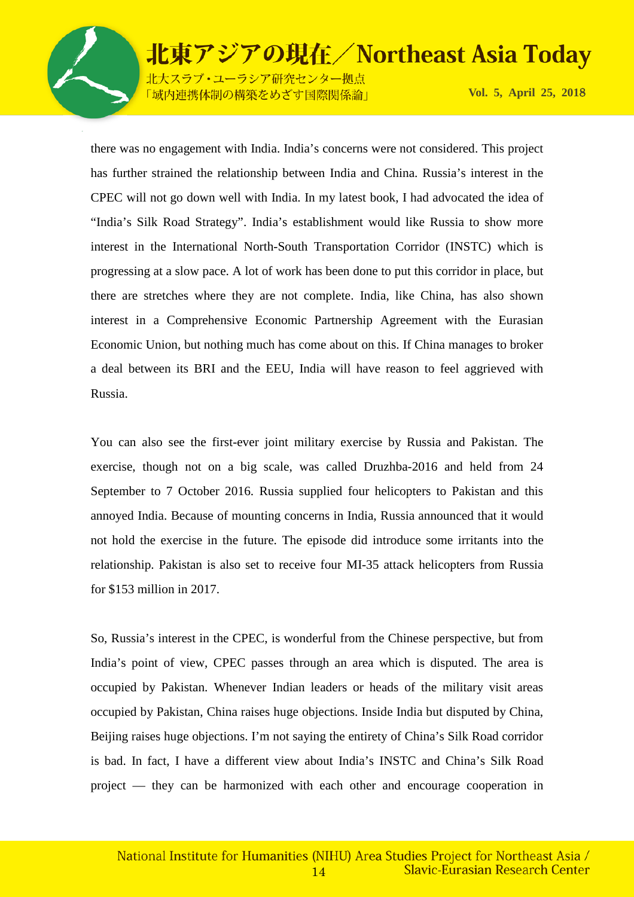

北大スラブ·ユーラシア研究センター拠点 「域内連携体制の構築をめざす国際関係論」

**Vol. 5, April 25, 201**8

there was no engagement with India. India's concerns were not considered. This project has further strained the relationship between India and China. Russia's interest in the CPEC will not go down well with India. In my latest book, I had advocated the idea of "India's Silk Road Strategy". India's establishment would like Russia to show more interest in the International North-South Transportation Corridor (INSTC) which is progressing at a slow pace. A lot of work has been done to put this corridor in place, but there are stretches where they are not complete. India, like China, has also shown interest in a Comprehensive Economic Partnership Agreement with the Eurasian Economic Union, but nothing much has come about on this. If China manages to broker a deal between its BRI and the EEU, India will have reason to feel aggrieved with Russia.

You can also see the first-ever joint military exercise by Russia and Pakistan. The exercise, though not on a big scale, was called Druzhba-2016 and held from 24 September to 7 October 2016. Russia supplied four helicopters to Pakistan and this annoyed India. Because of mounting concerns in India, Russia announced that it would not hold the exercise in the future. The episode did introduce some irritants into the relationship. Pakistan is also set to receive four MI-35 attack helicopters from Russia for \$153 million in 2017.

So, Russia's interest in the CPEC, is wonderful from the Chinese perspective, but from India's point of view, CPEC passes through an area which is disputed. The area is occupied by Pakistan. Whenever Indian leaders or heads of the military visit areas occupied by Pakistan, China raises huge objections. Inside India but disputed by China, Beijing raises huge objections. I'm not saying the entirety of China's Silk Road corridor is bad. In fact, I have a different view about India's INSTC and China's Silk Road project — they can be harmonized with each other and encourage cooperation in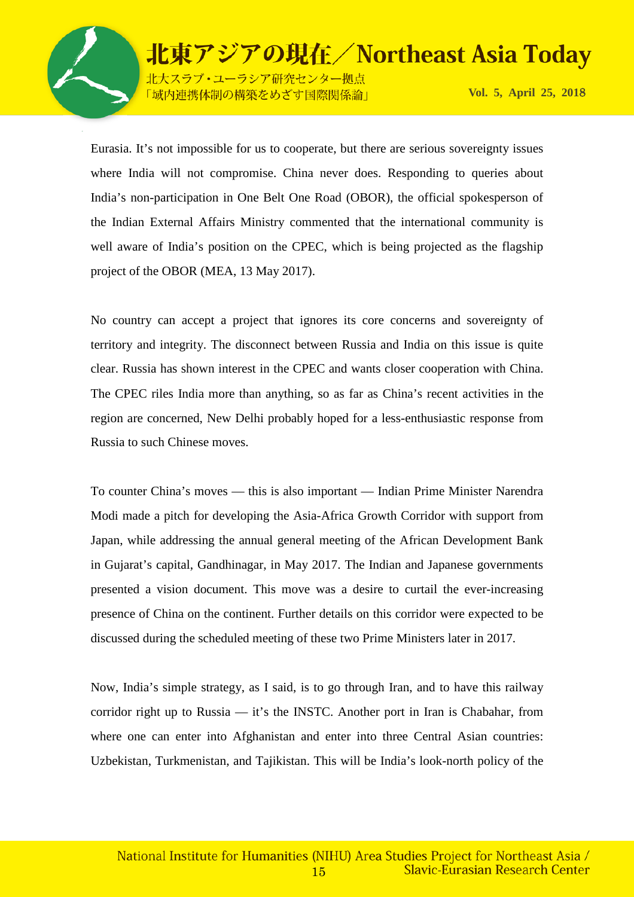

北大スラブ·ユーラシア研究センター拠点 「域内連携体制の構築をめざす国際関係論」

**Vol. 5, April 25, 201**8

Eurasia. It's not impossible for us to cooperate, but there are serious sovereignty issues where India will not compromise. China never does. Responding to queries about India's non-participation in One Belt One Road (OBOR), the official spokesperson of the Indian External Affairs Ministry commented that the international community is well aware of India's position on the CPEC, which is being projected as the flagship project of the OBOR (MEA, 13 May 2017).

北東アジアの現在/Northeast Asia Today

No country can accept a project that ignores its core concerns and sovereignty of territory and integrity. The disconnect between Russia and India on this issue is quite clear. Russia has shown interest in the CPEC and wants closer cooperation with China. The CPEC riles India more than anything, so as far as China's recent activities in the region are concerned, New Delhi probably hoped for a less-enthusiastic response from Russia to such Chinese moves.

To counter China's moves — this is also important — Indian Prime Minister Narendra Modi made a pitch for developing the Asia-Africa Growth Corridor with support from Japan, while addressing the annual general meeting of the African Development Bank in Gujarat's capital, Gandhinagar, in May 2017. The Indian and Japanese governments presented a vision document. This move was a desire to curtail the ever-increasing presence of China on the continent. Further details on this corridor were expected to be discussed during the scheduled meeting of these two Prime Ministers later in 2017.

Now, India's simple strategy, as I said, is to go through Iran, and to have this railway corridor right up to Russia — it's the INSTC. Another port in Iran is Chabahar, from where one can enter into Afghanistan and enter into three Central Asian countries: Uzbekistan, Turkmenistan, and Tajikistan. This will be India's look-north policy of the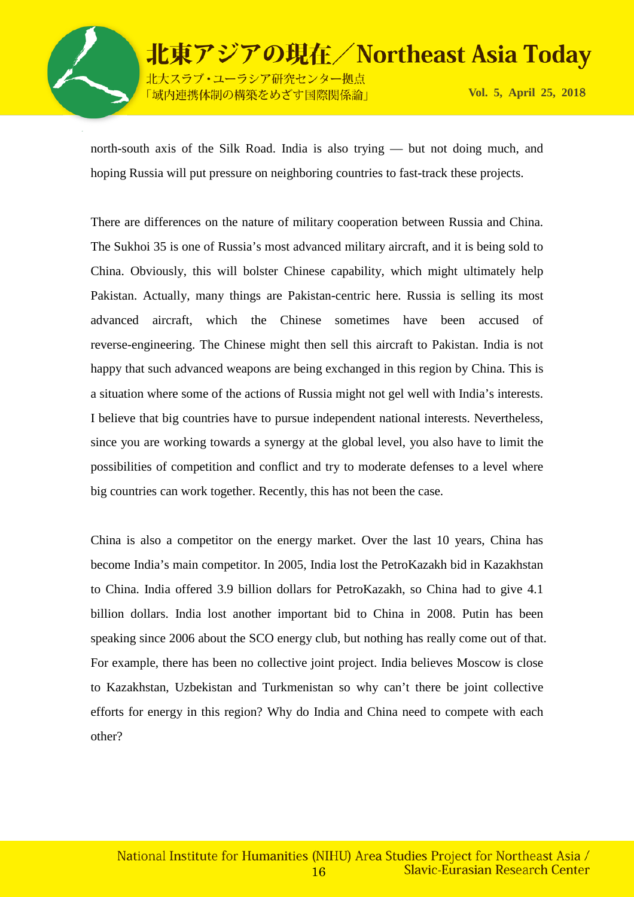

北大スラブ・ユーラシア研究センター拠点 「域内連携体制の構築をめざす国際関係論」

north-south axis of the Silk Road. India is also trying — but not doing much, and hoping Russia will put pressure on neighboring countries to fast-track these projects.

There are differences on the nature of military cooperation between Russia and China. The Sukhoi 35 is one of Russia's most advanced military aircraft, and it is being sold to China. Obviously, this will bolster Chinese capability, which might ultimately help Pakistan. Actually, many things are Pakistan-centric here. Russia is selling its most advanced aircraft, which the Chinese sometimes have been accused of reverse-engineering. The Chinese might then sell this aircraft to Pakistan. India is not happy that such advanced weapons are being exchanged in this region by China. This is a situation where some of the actions of Russia might not gel well with India's interests. I believe that big countries have to pursue independent national interests. Nevertheless, since you are working towards a synergy at the global level, you also have to limit the possibilities of competition and conflict and try to moderate defenses to a level where big countries can work together. Recently, this has not been the case.

China is also a competitor on the energy market. Over the last 10 years, China has become India's main competitor. In 2005, India lost the PetroKazakh bid in Kazakhstan to China. India offered 3.9 billion dollars for PetroKazakh, so China had to give 4.1 billion dollars. India lost another important bid to China in 2008. Putin has been speaking since 2006 about the SCO energy club, but nothing has really come out of that. For example, there has been no collective joint project. India believes Moscow is close to Kazakhstan, Uzbekistan and Turkmenistan so why can't there be joint collective efforts for energy in this region? Why do India and China need to compete with each other?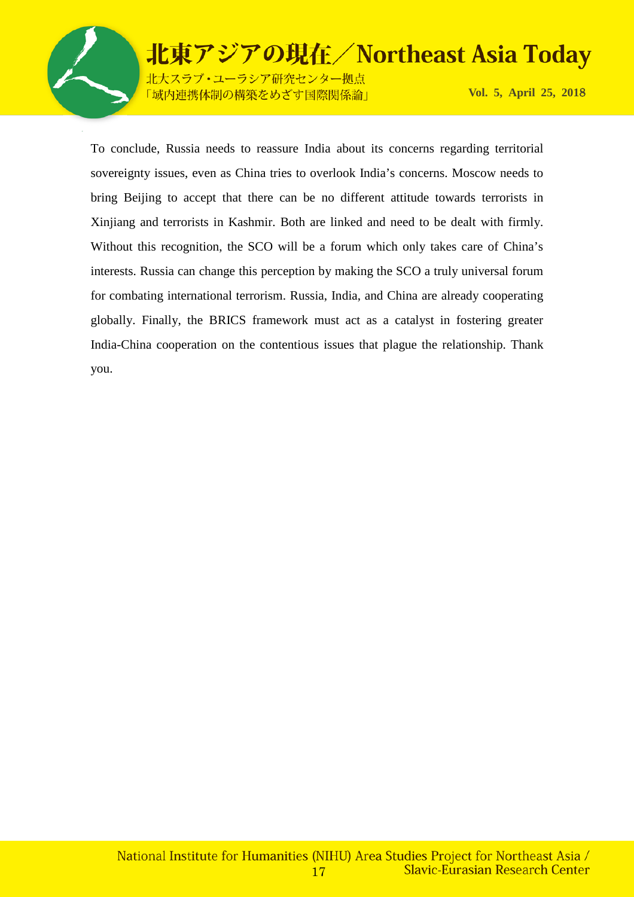

ーラシア研究センター拠点 「域内連携体制の構築をめざす国際関係論」

**Vol. 5, April 25, 201**8

To conclude, Russia needs to reassure India about its concerns regarding territorial sovereignty issues, even as China tries to overlook India's concerns. Moscow needs to bring Beijing to accept that there can be no different attitude towards terrorists in Xinjiang and terrorists in Kashmir. Both are linked and need to be dealt with firmly. Without this recognition, the SCO will be a forum which only takes care of China's interests. Russia can change this perception by making the SCO a truly universal forum for combating international terrorism. Russia, India, and China are already cooperating globally. Finally, the BRICS framework must act as a catalyst in fostering greater India-China cooperation on the contentious issues that plague the relationship. Thank you.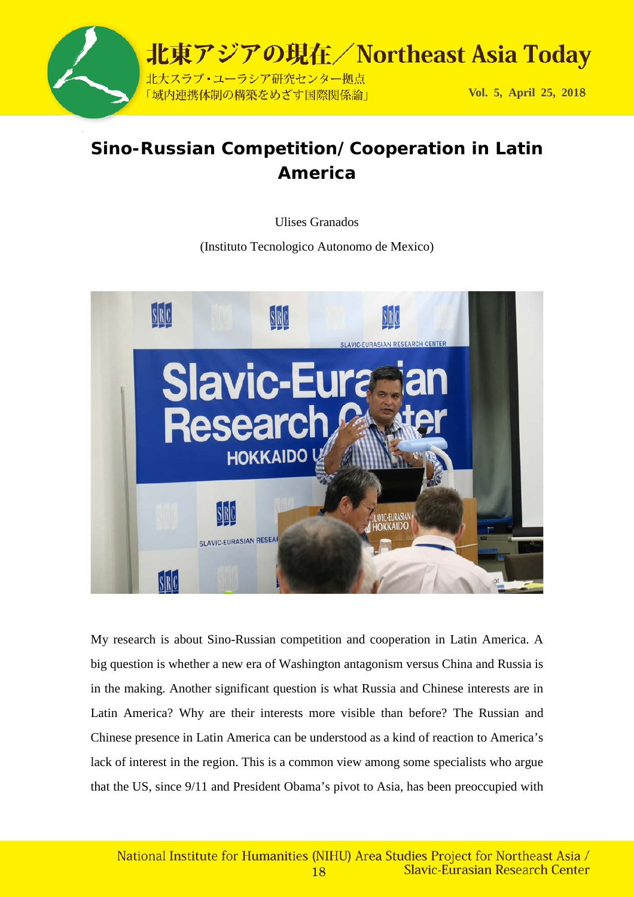

## **Sino-Russian Competition/Cooperation in Latin America**

Ulises Granados

(Instituto Tecnologico Autonomo de Mexico)



My research is about Sino-Russian competition and cooperation in Latin America. A big question is whether a new era of Washington antagonism versus China and Russia is in the making. Another significant question is what Russia and Chinese interests are in Latin America? Why are their interests more visible than before? The Russian and Chinese presence in Latin America can be understood as a kind of reaction to America's lack of interest in the region. This is a common view among some specialists who argue that the US, since 9/11 and President Obama's pivot to Asia, has been preoccupied with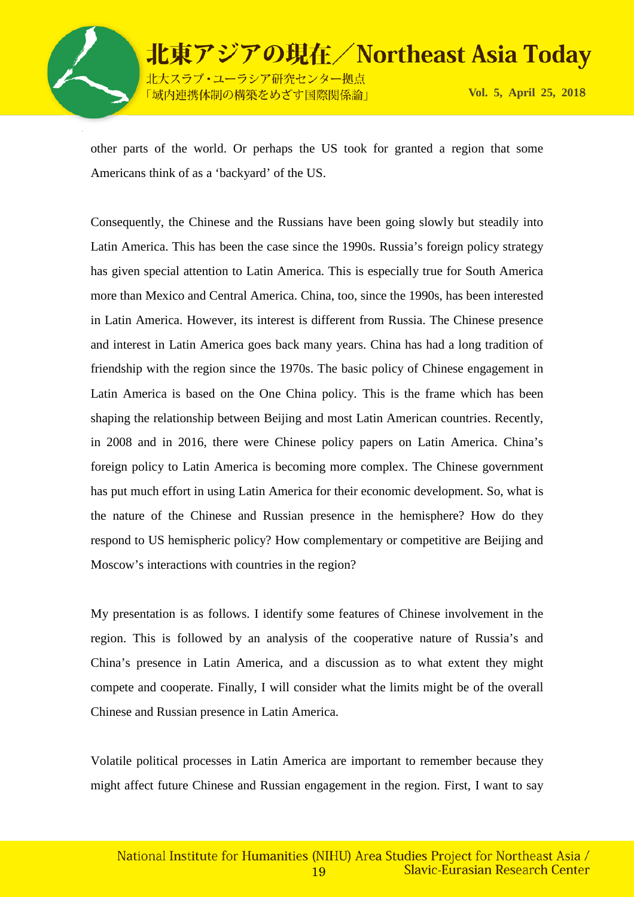

北東アジアの現在/Northeast Asia Today 北大スラブ·ユーラシア研究センター拠点 **Vol. 5, April 25, 201**8 「域内連携体制の構築をめざす国際関係論」

other parts of the world. Or perhaps the US took for granted a region that some Americans think of as a 'backyard' of the US.

Consequently, the Chinese and the Russians have been going slowly but steadily into Latin America. This has been the case since the 1990s. Russia's foreign policy strategy has given special attention to Latin America. This is especially true for South America more than Mexico and Central America. China, too, since the 1990s, has been interested in Latin America. However, its interest is different from Russia. The Chinese presence and interest in Latin America goes back many years. China has had a long tradition of friendship with the region since the 1970s. The basic policy of Chinese engagement in Latin America is based on the One China policy. This is the frame which has been shaping the relationship between Beijing and most Latin American countries. Recently, in 2008 and in 2016, there were Chinese policy papers on Latin America. China's foreign policy to Latin America is becoming more complex. The Chinese government has put much effort in using Latin America for their economic development. So, what is the nature of the Chinese and Russian presence in the hemisphere? How do they respond to US hemispheric policy? How complementary or competitive are Beijing and Moscow's interactions with countries in the region?

My presentation is as follows. I identify some features of Chinese involvement in the region. This is followed by an analysis of the cooperative nature of Russia's and China's presence in Latin America, and a discussion as to what extent they might compete and cooperate. Finally, I will consider what the limits might be of the overall Chinese and Russian presence in Latin America.

Volatile political processes in Latin America are important to remember because they might affect future Chinese and Russian engagement in the region. First, I want to say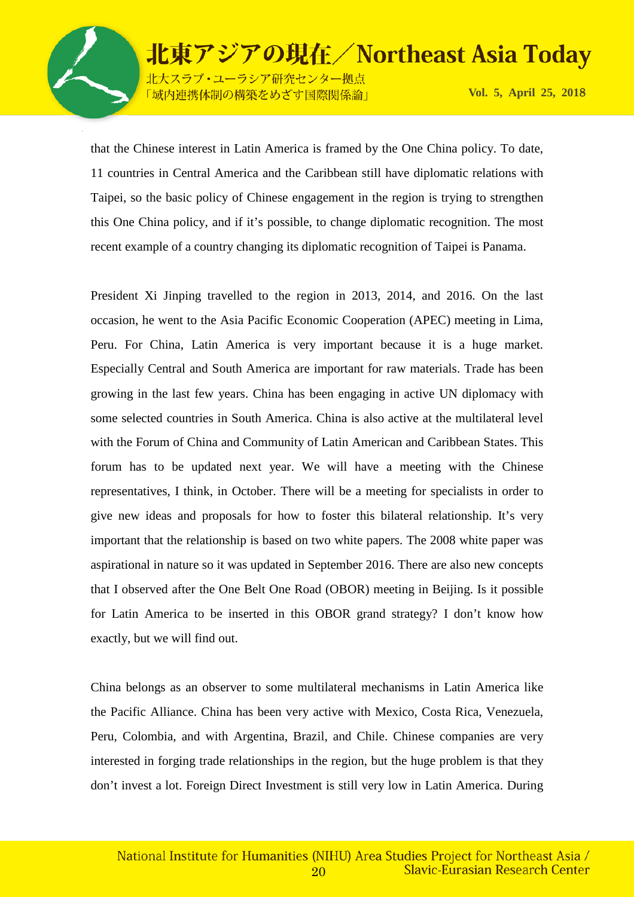

北東アジアの現在/Northeast Asia Today 北大スラブ·ユーラシア研究センター拠点

**Vol. 5, April 25, 201**8

「域内連携体制の構築をめざす国際関係論」

that the Chinese interest in Latin America is framed by the One China policy. To date, 11 countries in Central America and the Caribbean still have diplomatic relations with Taipei, so the basic policy of Chinese engagement in the region is trying to strengthen this One China policy, and if it's possible, to change diplomatic recognition. The most recent example of a country changing its diplomatic recognition of Taipei is Panama.

President Xi Jinping travelled to the region in 2013, 2014, and 2016. On the last occasion, he went to the Asia Pacific Economic Cooperation (APEC) meeting in Lima, Peru. For China, Latin America is very important because it is a huge market. Especially Central and South America are important for raw materials. Trade has been growing in the last few years. China has been engaging in active UN diplomacy with some selected countries in South America. China is also active at the multilateral level with the Forum of China and Community of Latin American and Caribbean States. This forum has to be updated next year. We will have a meeting with the Chinese representatives, I think, in October. There will be a meeting for specialists in order to give new ideas and proposals for how to foster this bilateral relationship. It's very important that the relationship is based on two white papers. The 2008 white paper was aspirational in nature so it was updated in September 2016. There are also new concepts that I observed after the One Belt One Road (OBOR) meeting in Beijing. Is it possible for Latin America to be inserted in this OBOR grand strategy? I don't know how exactly, but we will find out.

China belongs as an observer to some multilateral mechanisms in Latin America like the Pacific Alliance. China has been very active with Mexico, Costa Rica, Venezuela, Peru, Colombia, and with Argentina, Brazil, and Chile. Chinese companies are very interested in forging trade relationships in the region, but the huge problem is that they don't invest a lot. Foreign Direct Investment is still very low in Latin America. During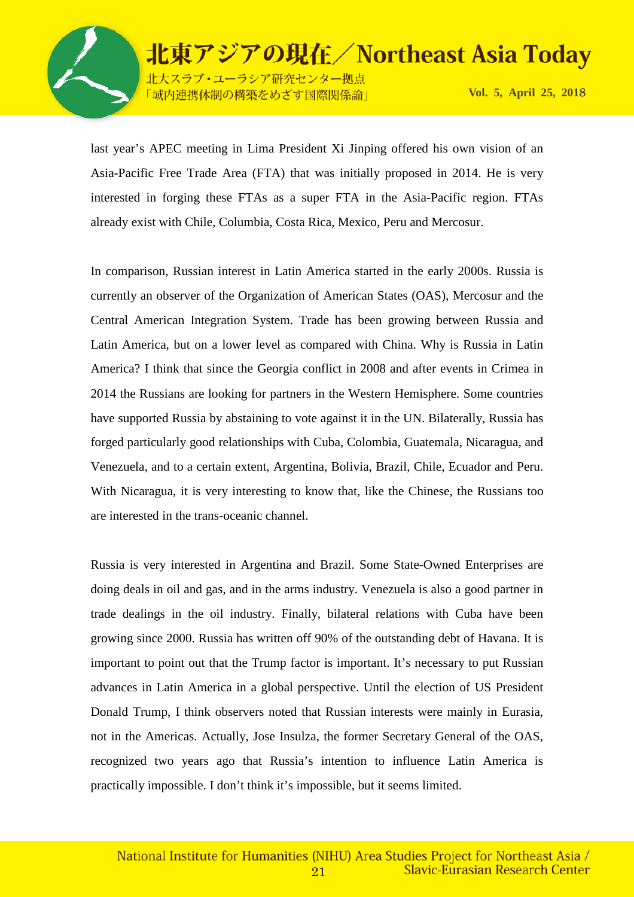

北大スラブ·ユーラシア研究センター拠点 「域内連携体制の構築をめざす国際関係論」

**Vol. 5, April 25, 201**8

last year's APEC meeting in Lima President Xi Jinping offered his own vision of an Asia-Pacific Free Trade Area (FTA) that was initially proposed in 2014. He is very interested in forging these FTAs as a super FTA in the Asia-Pacific region. FTAs already exist with Chile, Columbia, Costa Rica, Mexico, Peru and Mercosur.

In comparison, Russian interest in Latin America started in the early 2000s. Russia is currently an observer of the Organization of American States (OAS), Mercosur and the Central American Integration System. Trade has been growing between Russia and Latin America, but on a lower level as compared with China. Why is Russia in Latin America? I think that since the Georgia conflict in 2008 and after events in Crimea in 2014 the Russians are looking for partners in the Western Hemisphere. Some countries have supported Russia by abstaining to vote against it in the UN. Bilaterally, Russia has forged particularly good relationships with Cuba, Colombia, Guatemala, Nicaragua, and Venezuela, and to a certain extent, Argentina, Bolivia, Brazil, Chile, Ecuador and Peru. With Nicaragua, it is very interesting to know that, like the Chinese, the Russians too are interested in the trans-oceanic channel.

Russia is very interested in Argentina and Brazil. Some State-Owned Enterprises are doing deals in oil and gas, and in the arms industry. Venezuela is also a good partner in trade dealings in the oil industry. Finally, bilateral relations with Cuba have been growing since 2000. Russia has written off 90% of the outstanding debt of Havana. It is important to point out that the Trump factor is important. It's necessary to put Russian advances in Latin America in a global perspective. Until the election of US President Donald Trump, I think observers noted that Russian interests were mainly in Eurasia, not in the Americas. Actually, Jose Insulza, the former Secretary General of the OAS, recognized two years ago that Russia's intention to influence Latin America is practically impossible. I don't think it's impossible, but it seems limited.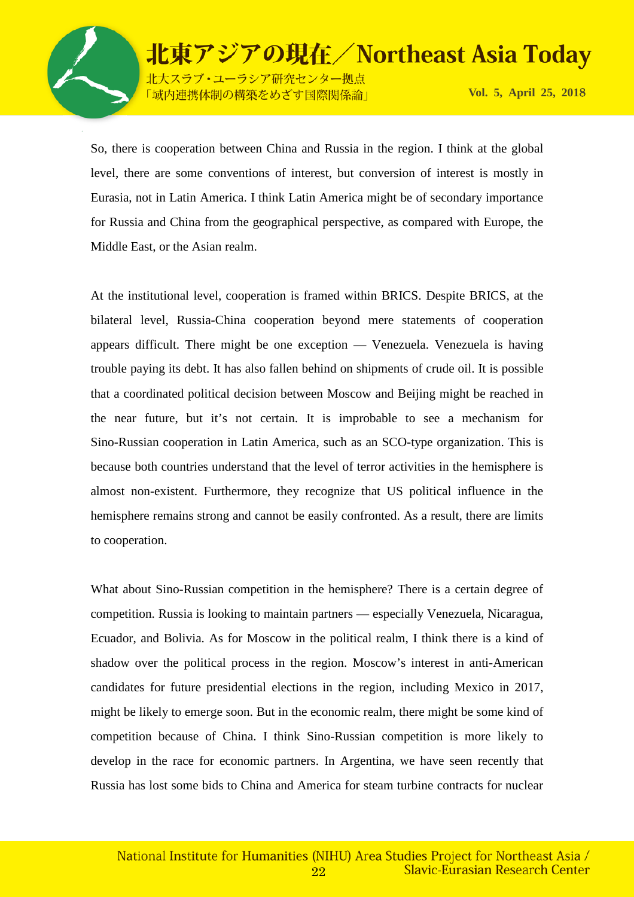

北大スラブ·ユーラシア研究センター拠点 「域内連携体制の構築をめざす国際関係論」

**Vol. 5, April 25, 201**8

So, there is cooperation between China and Russia in the region. I think at the global level, there are some conventions of interest, but conversion of interest is mostly in Eurasia, not in Latin America. I think Latin America might be of secondary importance for Russia and China from the geographical perspective, as compared with Europe, the Middle East, or the Asian realm.

At the institutional level, cooperation is framed within BRICS. Despite BRICS, at the bilateral level, Russia-China cooperation beyond mere statements of cooperation appears difficult. There might be one exception — Venezuela. Venezuela is having trouble paying its debt. It has also fallen behind on shipments of crude oil. It is possible that a coordinated political decision between Moscow and Beijing might be reached in the near future, but it's not certain. It is improbable to see a mechanism for Sino-Russian cooperation in Latin America, such as an SCO-type organization. This is because both countries understand that the level of terror activities in the hemisphere is almost non-existent. Furthermore, they recognize that US political influence in the hemisphere remains strong and cannot be easily confronted. As a result, there are limits to cooperation.

What about Sino-Russian competition in the hemisphere? There is a certain degree of competition. Russia is looking to maintain partners — especially Venezuela, Nicaragua, Ecuador, and Bolivia. As for Moscow in the political realm, I think there is a kind of shadow over the political process in the region. Moscow's interest in anti-American candidates for future presidential elections in the region, including Mexico in 2017, might be likely to emerge soon. But in the economic realm, there might be some kind of competition because of China. I think Sino-Russian competition is more likely to develop in the race for economic partners. In Argentina, we have seen recently that Russia has lost some bids to China and America for steam turbine contracts for nuclear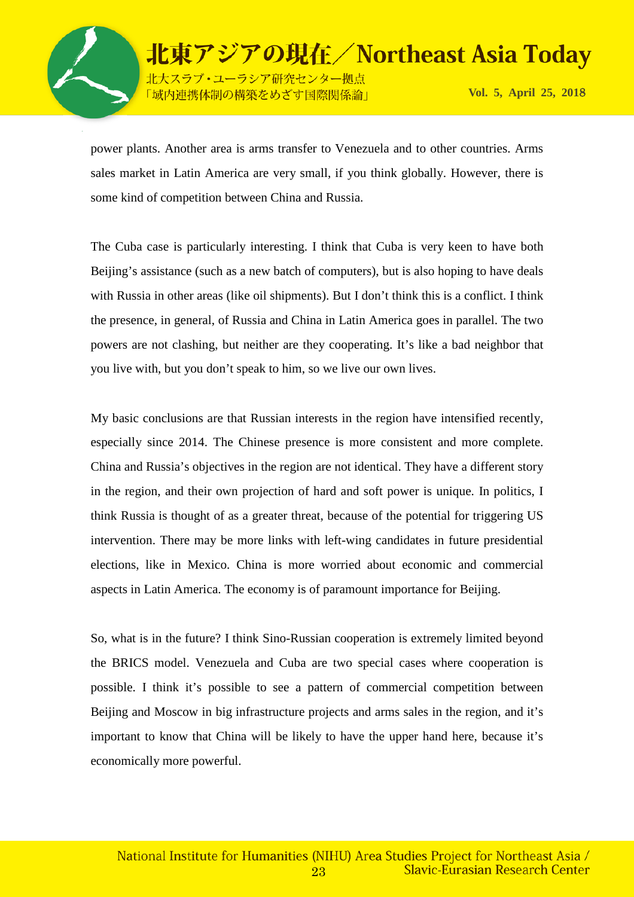

北東アジアの現在/Northeast Asia Today 北大スラブ·ユーラシア研究センター拠点

「域内連携体制の構築をめざす国際関係論」

**Vol. 5, April 25, 201**8

power plants. Another area is arms transfer to Venezuela and to other countries. Arms sales market in Latin America are very small, if you think globally. However, there is some kind of competition between China and Russia.

The Cuba case is particularly interesting. I think that Cuba is very keen to have both Beijing's assistance (such as a new batch of computers), but is also hoping to have deals with Russia in other areas (like oil shipments). But I don't think this is a conflict. I think the presence, in general, of Russia and China in Latin America goes in parallel. The two powers are not clashing, but neither are they cooperating. It's like a bad neighbor that you live with, but you don't speak to him, so we live our own lives.

My basic conclusions are that Russian interests in the region have intensified recently, especially since 2014. The Chinese presence is more consistent and more complete. China and Russia's objectives in the region are not identical. They have a different story in the region, and their own projection of hard and soft power is unique. In politics, I think Russia is thought of as a greater threat, because of the potential for triggering US intervention. There may be more links with left-wing candidates in future presidential elections, like in Mexico. China is more worried about economic and commercial aspects in Latin America. The economy is of paramount importance for Beijing.

So, what is in the future? I think Sino-Russian cooperation is extremely limited beyond the BRICS model. Venezuela and Cuba are two special cases where cooperation is possible. I think it's possible to see a pattern of commercial competition between Beijing and Moscow in big infrastructure projects and arms sales in the region, and it's important to know that China will be likely to have the upper hand here, because it's economically more powerful.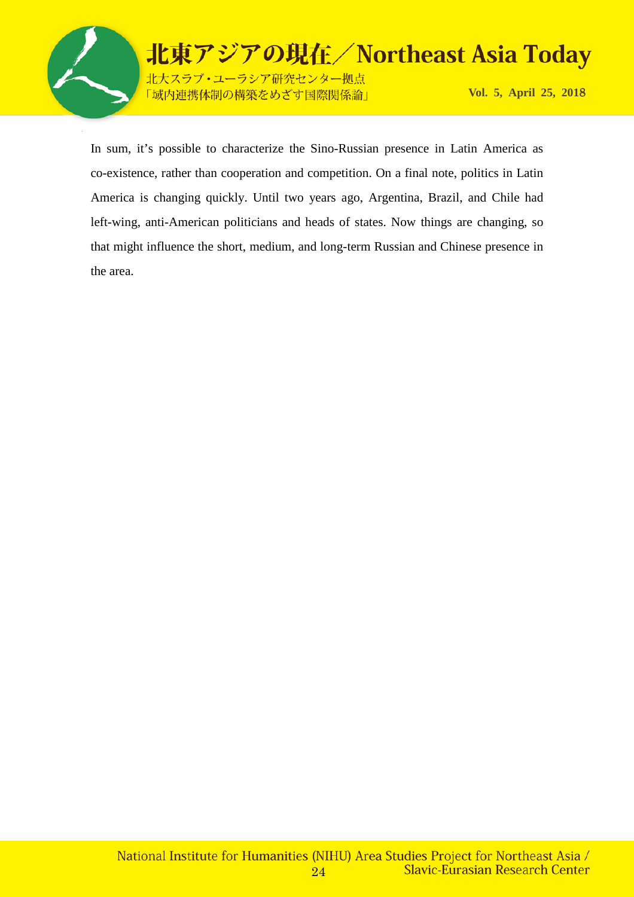

In sum, it's possible to characterize the Sino-Russian presence in Latin America as co-existence, rather than cooperation and competition. On a final note, politics in Latin America is changing quickly. Until two years ago, Argentina, Brazil, and Chile had left-wing, anti-American politicians and heads of states. Now things are changing, so that might influence the short, medium, and long-term Russian and Chinese presence in the area.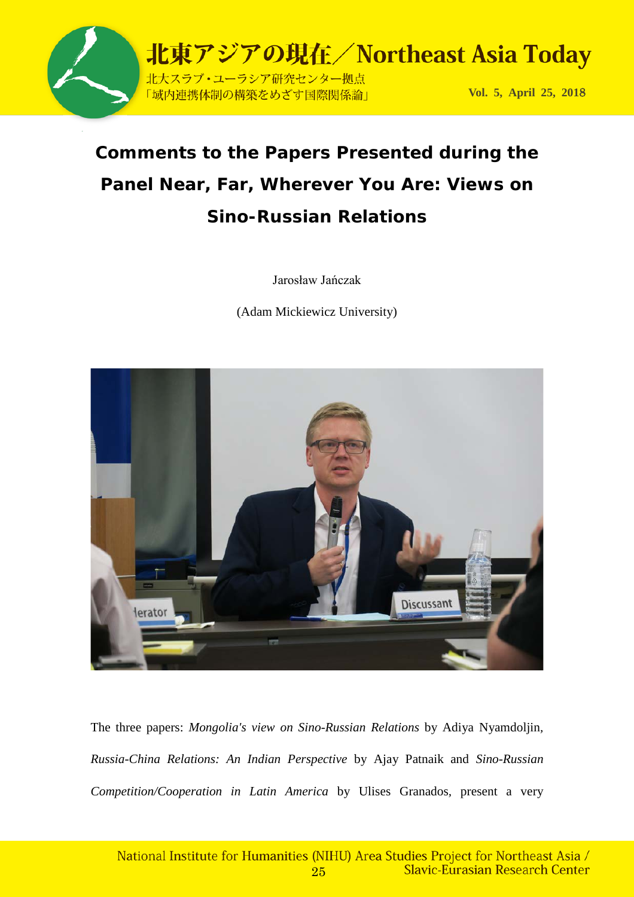

## **Comments to the Papers Presented during the Panel** *Near, Far, Wherever You Are: Views on Sino-Russian Relations*

Jarosław Jańczak

(Adam Mickiewicz University)



The three papers: *Mongolia's view on Sino-Russian Relations* by Adiya Nyamdoljin*, Russia-China Relations: An Indian Perspective* by Ajay Patnaik and *Sino-Russian Competition/Cooperation in Latin America* by Ulises Granados*,* present a very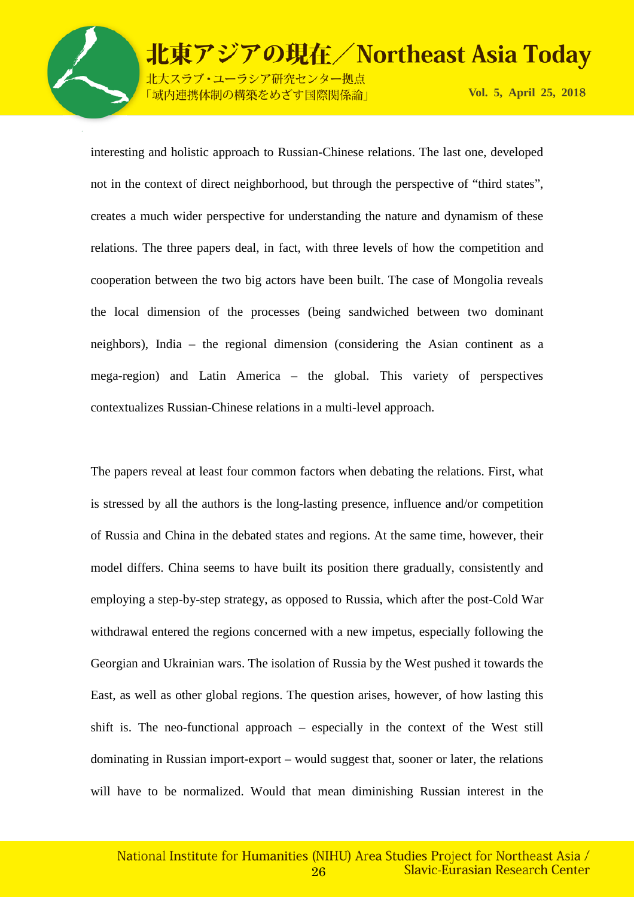

-ラシア研究センター拠点 ||の構築をめざす国際関係論」

**Vol. 5, April 25, 201**8

interesting and holistic approach to Russian-Chinese relations. The last one, developed not in the context of direct neighborhood, but through the perspective of "third states", creates a much wider perspective for understanding the nature and dynamism of these relations. The three papers deal, in fact, with three levels of how the competition and cooperation between the two big actors have been built. The case of Mongolia reveals the local dimension of the processes (being sandwiched between two dominant neighbors), India – the regional dimension (considering the Asian continent as a mega-region) and Latin America – the global. This variety of perspectives contextualizes Russian-Chinese relations in a multi-level approach.

The papers reveal at least four common factors when debating the relations. First, what is stressed by all the authors is the long-lasting presence, influence and/or competition of Russia and China in the debated states and regions. At the same time, however, their model differs. China seems to have built its position there gradually, consistently and employing a step-by-step strategy, as opposed to Russia, which after the post-Cold War withdrawal entered the regions concerned with a new impetus, especially following the Georgian and Ukrainian wars. The isolation of Russia by the West pushed it towards the East, as well as other global regions. The question arises, however, of how lasting this shift is. The neo-functional approach – especially in the context of the West still dominating in Russian import-export – would suggest that, sooner or later, the relations will have to be normalized. Would that mean diminishing Russian interest in the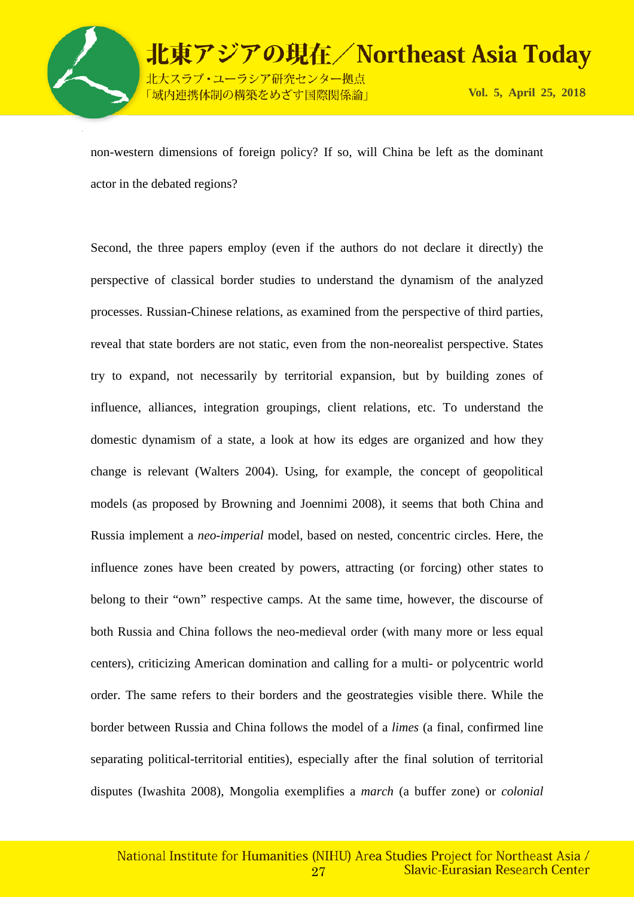

non-western dimensions of foreign policy? If so, will China be left as the dominant actor in the debated regions?

Second, the three papers employ (even if the authors do not declare it directly) the perspective of classical border studies to understand the dynamism of the analyzed processes. Russian-Chinese relations, as examined from the perspective of third parties, reveal that state borders are not static, even from the non-neorealist perspective. States try to expand, not necessarily by territorial expansion, but by building zones of influence, alliances, integration groupings, client relations, etc. To understand the domestic dynamism of a state, a look at how its edges are organized and how they change is relevant (Walters 2004). Using, for example, the concept of geopolitical models (as proposed by Browning and Joennimi 2008), it seems that both China and Russia implement a *neo-imperial* model, based on nested, concentric circles. Here, the influence zones have been created by powers, attracting (or forcing) other states to belong to their "own" respective camps. At the same time, however, the discourse of both Russia and China follows the neo-medieval order (with many more or less equal centers), criticizing American domination and calling for a multi- or polycentric world order. The same refers to their borders and the geostrategies visible there. While the border between Russia and China follows the model of a *limes* (a final, confirmed line separating political-territorial entities), especially after the final solution of territorial disputes (Iwashita 2008), Mongolia exemplifies a *march* (a buffer zone) or *colonial*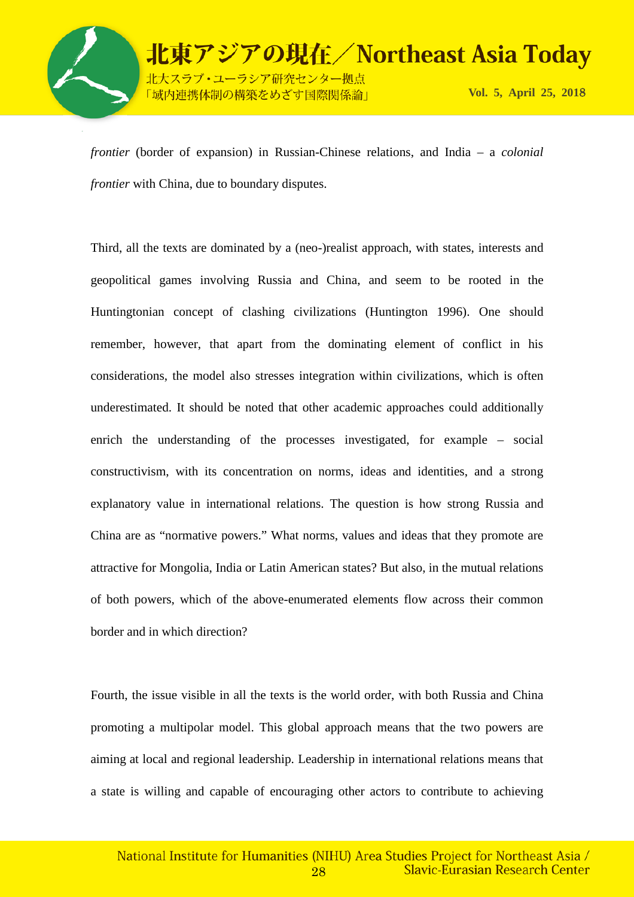

*frontier* (border of expansion) in Russian-Chinese relations, and India – a *colonial frontier* with China, due to boundary disputes.

Third, all the texts are dominated by a (neo-)realist approach, with states, interests and geopolitical games involving Russia and China, and seem to be rooted in the Huntingtonian concept of clashing civilizations (Huntington 1996). One should remember, however, that apart from the dominating element of conflict in his considerations, the model also stresses integration within civilizations, which is often underestimated. It should be noted that other academic approaches could additionally enrich the understanding of the processes investigated, for example – social constructivism, with its concentration on norms, ideas and identities, and a strong explanatory value in international relations. The question is how strong Russia and China are as "normative powers." What norms, values and ideas that they promote are attractive for Mongolia, India or Latin American states? But also, in the mutual relations of both powers, which of the above-enumerated elements flow across their common border and in which direction?

Fourth, the issue visible in all the texts is the world order, with both Russia and China promoting a multipolar model. This global approach means that the two powers are aiming at local and regional leadership. Leadership in international relations means that a state is willing and capable of encouraging other actors to contribute to achieving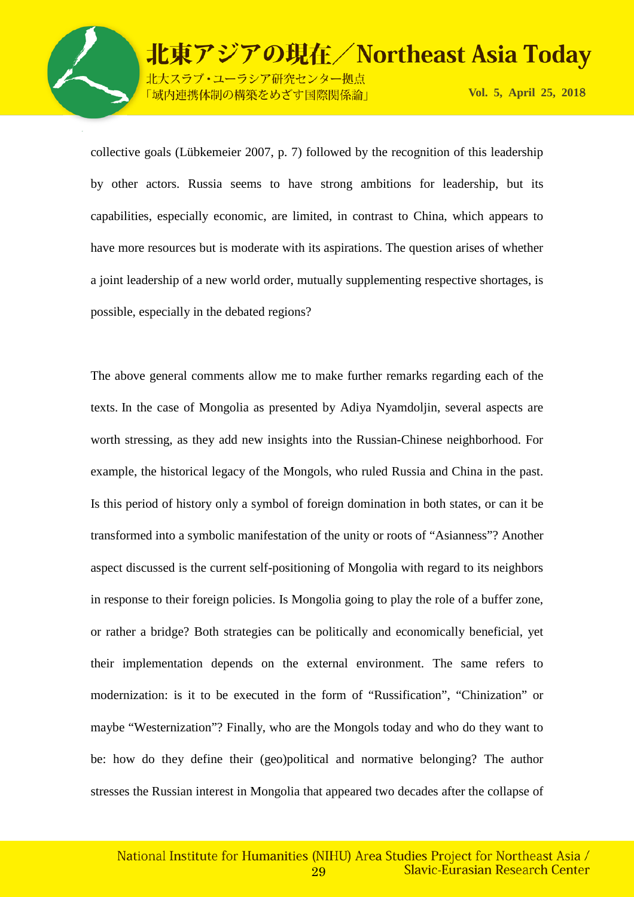

ラシア研究センター拠点 構築をめざす国際関係論」

collective goals (Lübkemeier 2007, p. 7) followed by the recognition of this leadership by other actors. Russia seems to have strong ambitions for leadership, but its capabilities, especially economic, are limited, in contrast to China, which appears to have more resources but is moderate with its aspirations. The question arises of whether a joint leadership of a new world order, mutually supplementing respective shortages, is possible, especially in the debated regions?

The above general comments allow me to make further remarks regarding each of the texts. In the case of Mongolia as presented by Adiya Nyamdoljin, several aspects are worth stressing, as they add new insights into the Russian-Chinese neighborhood. For example, the historical legacy of the Mongols, who ruled Russia and China in the past. Is this period of history only a symbol of foreign domination in both states, or can it be transformed into a symbolic manifestation of the unity or roots of "Asianness"? Another aspect discussed is the current self-positioning of Mongolia with regard to its neighbors in response to their foreign policies. Is Mongolia going to play the role of a buffer zone, or rather a bridge? Both strategies can be politically and economically beneficial, yet their implementation depends on the external environment. The same refers to modernization: is it to be executed in the form of "Russification", "Chinization" or maybe "Westernization"? Finally, who are the Mongols today and who do they want to be: how do they define their (geo)political and normative belonging? The author stresses the Russian interest in Mongolia that appeared two decades after the collapse of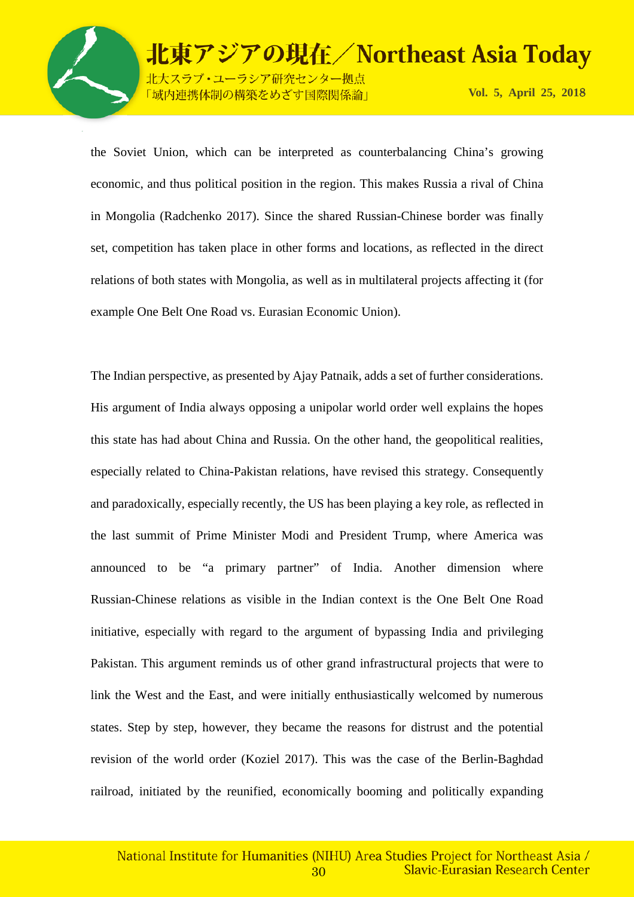

ラシア研究センター拠点 <sup>輩</sup>築をめざす国際関係論」

the Soviet Union, which can be interpreted as counterbalancing China's growing economic, and thus political position in the region. This makes Russia a rival of China in Mongolia (Radchenko 2017). Since the shared Russian-Chinese border was finally set, competition has taken place in other forms and locations, as reflected in the direct relations of both states with Mongolia, as well as in multilateral projects affecting it (for example One Belt One Road vs. Eurasian Economic Union).

The Indian perspective, as presented by Ajay Patnaik, adds a set of further considerations. His argument of India always opposing a unipolar world order well explains the hopes this state has had about China and Russia. On the other hand, the geopolitical realities, especially related to China-Pakistan relations, have revised this strategy. Consequently and paradoxically, especially recently, the US has been playing a key role, as reflected in the last summit of Prime Minister Modi and President Trump, where America was announced to be "a primary partner" of India. Another dimension where Russian-Chinese relations as visible in the Indian context is the One Belt One Road initiative, especially with regard to the argument of bypassing India and privileging Pakistan. This argument reminds us of other grand infrastructural projects that were to link the West and the East, and were initially enthusiastically welcomed by numerous states. Step by step, however, they became the reasons for distrust and the potential revision of the world order (Koziel 2017). This was the case of the Berlin-Baghdad railroad, initiated by the reunified, economically booming and politically expanding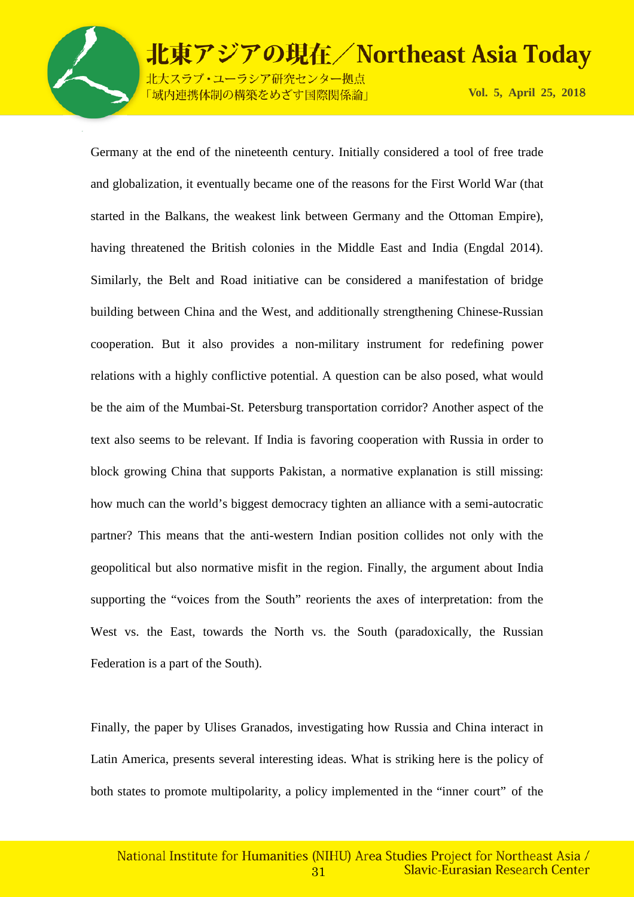

-ラシア研究センター拠点 <mark>制の構築をめざす国際関係論」</mark>

**Vol. 5, April 25, 201**8

Germany at the end of the nineteenth century. Initially considered a tool of free trade and globalization, it eventually became one of the reasons for the First World War (that started in the Balkans, the weakest link between Germany and the Ottoman Empire), having threatened the British colonies in the Middle East and India (Engdal 2014). Similarly, the Belt and Road initiative can be considered a manifestation of bridge building between China and the West, and additionally strengthening Chinese-Russian cooperation. But it also provides a non-military instrument for redefining power relations with a highly conflictive potential. A question can be also posed, what would be the aim of the Mumbai-St. Petersburg transportation corridor? Another aspect of the text also seems to be relevant. If India is favoring cooperation with Russia in order to block growing China that supports Pakistan, a normative explanation is still missing: how much can the world's biggest democracy tighten an alliance with a semi-autocratic partner? This means that the anti-western Indian position collides not only with the geopolitical but also normative misfit in the region. Finally, the argument about India supporting the "voices from the South" reorients the axes of interpretation: from the West vs. the East, towards the North vs. the South (paradoxically, the Russian Federation is a part of the South).

Finally, the paper by Ulises Granados, investigating how Russia and China interact in Latin America, presents several interesting ideas. What is striking here is the policy of both states to promote multipolarity, a policy implemented in the "inner court" of the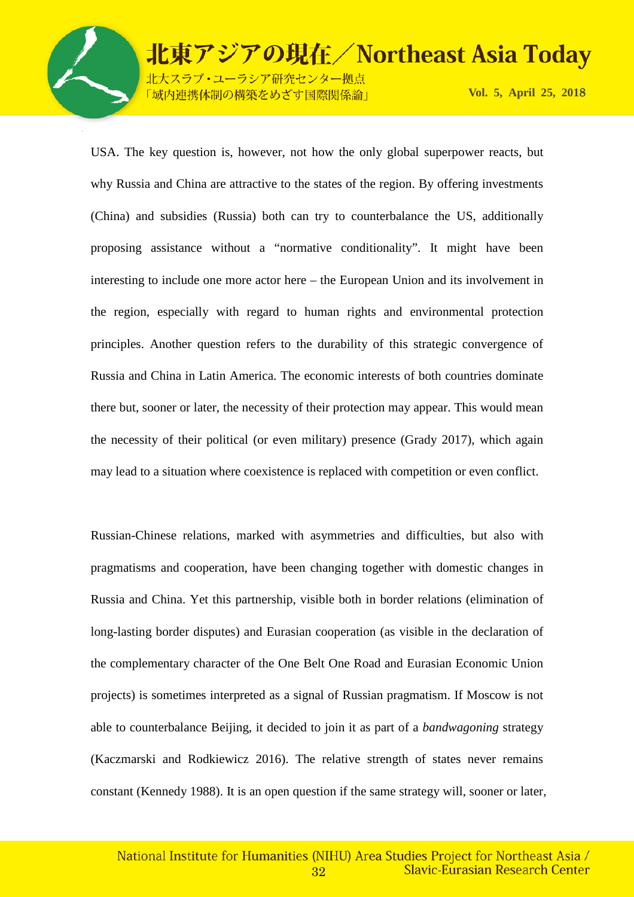

-ラシア研究センター拠点 <mark>制の構築をめざす国際関係論」</mark>

**Vol. 5, April 25, 201**8

USA. The key question is, however, not how the only global superpower reacts, but why Russia and China are attractive to the states of the region. By offering investments (China) and subsidies (Russia) both can try to counterbalance the US, additionally proposing assistance without a "normative conditionality". It might have been interesting to include one more actor here – the European Union and its involvement in the region, especially with regard to human rights and environmental protection principles. Another question refers to the durability of this strategic convergence of Russia and China in Latin America. The economic interests of both countries dominate there but, sooner or later, the necessity of their protection may appear. This would mean the necessity of their political (or even military) presence (Grady 2017), which again may lead to a situation where coexistence is replaced with competition or even conflict.

Russian-Chinese relations, marked with asymmetries and difficulties, but also with pragmatisms and cooperation, have been changing together with domestic changes in Russia and China. Yet this partnership, visible both in border relations (elimination of long-lasting border disputes) and Eurasian cooperation (as visible in the declaration of the complementary character of the One Belt One Road and Eurasian Economic Union projects) is sometimes interpreted as a signal of Russian pragmatism. If Moscow is not able to counterbalance Beijing, it decided to join it as part of a *bandwagoning* strategy (Kaczmarski and Rodkiewicz 2016). The relative strength of states never remains constant (Kennedy 1988). It is an open question if the same strategy will, sooner or later,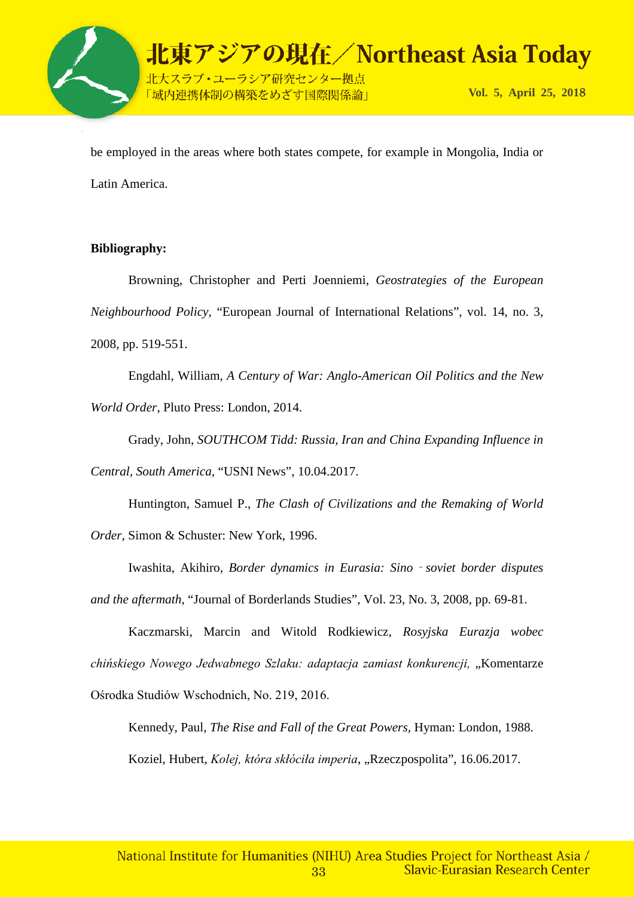

be employed in the areas where both states compete, for example in Mongolia, India or Latin America.

#### **Bibliography:**

Browning, Christopher and Perti Joenniemi, *Geostrategies of the European Neighbourhood Policy*, "European Journal of International Relations", vol. 14, no. 3, 2008, pp. 519-551.

Engdahl, William, *A Century of War: Anglo-American Oil Politics and the New World Order*, Pluto Press: London, 2014.

Grady, John, *SOUTHCOM Tidd: Russia, Iran and China Expanding Influence in Central, South America,* "USNI News", 10.04.2017.

Huntington, Samuel P., *The Clash of Civilizations and the Remaking of World Order*, Simon & Schuster: New York, 1996.

Iwashita, Akihiro, *Border dynamics in Eurasia: Sino*‐*soviet border disputes* 

*and the aftermath*, "Journal of Borderlands Studies", Vol. 23, No. 3, 2008, pp. 69-81.

Kaczmarski, Marcin and Witold Rodkiewicz, *Rosyjska Eurazja wobec*  chińskiego Nowego Jedwabnego Szlaku: adaptacja zamiast konkurencji, "Komentarze Ośrodka Studiów Wschodnich, No. 219, 2016.

Kennedy, Paul, *The Rise and Fall of the Great Powers,* Hyman: London, 1988. Koziel, Hubert, *Kolej, która skłóciła imperia*, "Rzeczpospolita", 16.06.2017.